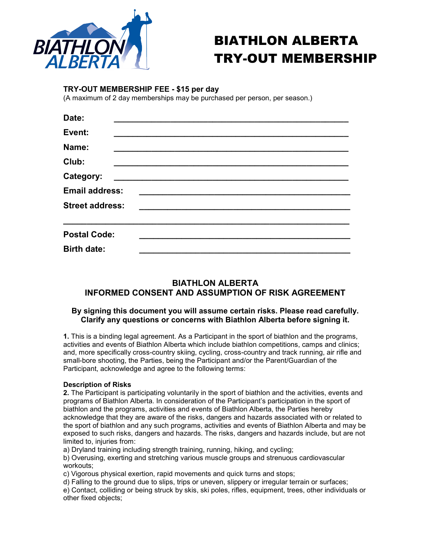

# BIATHLON ALBERTA TRY-OUT MEMBERSHIP

# TRY-OUT MEMBERSHIP FEE - \$15 per day

(A maximum of 2 day memberships may be purchased per person, per season.)

| Date:                  |  |  |
|------------------------|--|--|
| Event:                 |  |  |
| Name:                  |  |  |
| Club:                  |  |  |
| Category:              |  |  |
| <b>Email address:</b>  |  |  |
| <b>Street address:</b> |  |  |
| <b>Postal Code:</b>    |  |  |
| <b>Birth date:</b>     |  |  |

# BIATHLON ALBERTA INFORMED CONSENT AND ASSUMPTION OF RISK AGREEMENT

## By signing this document you will assume certain risks. Please read carefully. Clarify any questions or concerns with Biathlon Alberta before signing it.

1. This is a binding legal agreement. As a Participant in the sport of biathlon and the programs, activities and events of Biathlon Alberta which include biathlon competitions, camps and clinics; and, more specifically cross-country skiing, cycling, cross-country and track running, air rifle and small-bore shooting, the Parties, being the Participant and/or the Parent/Guardian of the Participant, acknowledge and agree to the following terms:

## Description of Risks

2. The Participant is participating voluntarily in the sport of biathlon and the activities, events and programs of Biathlon Alberta. In consideration of the Participant's participation in the sport of biathlon and the programs, activities and events of Biathlon Alberta, the Parties hereby acknowledge that they are aware of the risks, dangers and hazards associated with or related to the sport of biathlon and any such programs, activities and events of Biathlon Alberta and may be exposed to such risks, dangers and hazards. The risks, dangers and hazards include, but are not limited to, injuries from:

a) Dryland training including strength training, running, hiking, and cycling;

b) Overusing, exerting and stretching various muscle groups and strenuous cardiovascular workouts;

c) Vigorous physical exertion, rapid movements and quick turns and stops;

d) Falling to the ground due to slips, trips or uneven, slippery or irregular terrain or surfaces;

e) Contact, colliding or being struck by skis, ski poles, rifles, equipment, trees, other individuals or other fixed objects;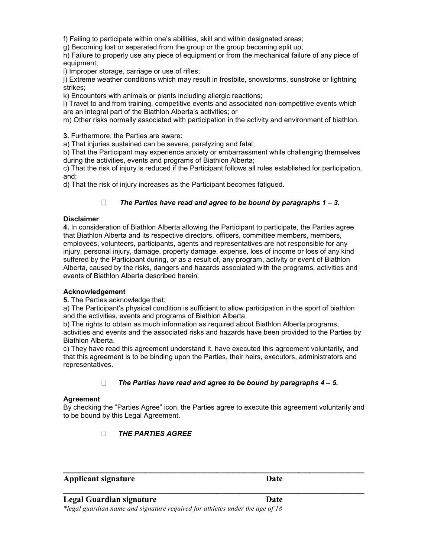f) Failing to participate within one's abilities, skill and within designated areas;

g) Becoming lost or separated from the group or the group becoming split up;

h) Failure to properly use any piece of equipment or from the mechanical failure of any piece of equipment;

i) Improper storage, carriage or use of rifles;

j) Extreme weather conditions which may result in frostbite, snowstorms, sunstroke or lightning strikes;

k) Encounters with animals or plants including allergic reactions;

l) Travel to and from training, competitive events and associated non-competitive events which are an integral part of the Biathlon Alberta's activities; or

m) Other risks normally associated with participation in the activity and environment of biathlon.

3. Furthermore, the Parties are aware:

a) That injuries sustained can be severe, paralyzing and fatal;

b) That the Participant may experience anxiety or embarrassment while challenging themselves during the activities, events and programs of Biathlon Alberta;

c) That the risk of injury is reduced if the Participant follows all rules established for participation, and;

d) That the risk of injury increases as the Participant becomes fatigued.

## $\Box$  The Parties have read and agree to be bound by paragraphs 1 – 3.

#### Disclaimer

4. In consideration of Biathlon Alberta allowing the Participant to participate, the Parties agree that Biathlon Alberta and its respective directors, officers, committee members, members, employees, volunteers, participants, agents and representatives are not responsible for any injury, personal injury, damage, property damage, expense, loss of income or loss of any kind suffered by the Participant during, or as a result of, any program, activity or event of Biathlon Alberta, caused by the risks, dangers and hazards associated with the programs, activities and events of Biathlon Alberta described herein.

#### Acknowledgement

5. The Parties acknowledge that:

a) The Participant's physical condition is sufficient to allow participation in the sport of biathlon and the activities, events and programs of Biathlon Alberta.

b) The rights to obtain as much information as required about Biathlon Alberta programs, activities and events and the associated risks and hazards have been provided to the Parties by

Biathlon Alberta.

c) They have read this agreement understand it, have executed this agreement voluntarily, and that this agreement is to be binding upon the Parties, their heirs, executors, administrators and representatives.

## $\Box$  The Parties have read and agree to be bound by paragraphs 4 – 5.

#### Agreement

By checking the "Parties Agree" icon, the Parties agree to execute this agreement voluntarily and to be bound by this Legal Agreement.

 $\mathcal{L}_\text{max}$  , and the contract of the contract of the contract of the contract of the contract of the contract of the contract of the contract of the contract of the contract of the contract of the contract of the contr

 $\mathcal{L}_\text{max}$  , and the contract of the contract of the contract of the contract of the contract of the contract of the contract of the contract of the contract of the contract of the contract of the contract of the contr

# THE PARTIES AGREE

# Applicant signature Date

#### Legal Guardian signature Date

\*legal guardian name and signature required for athletes under the age of 18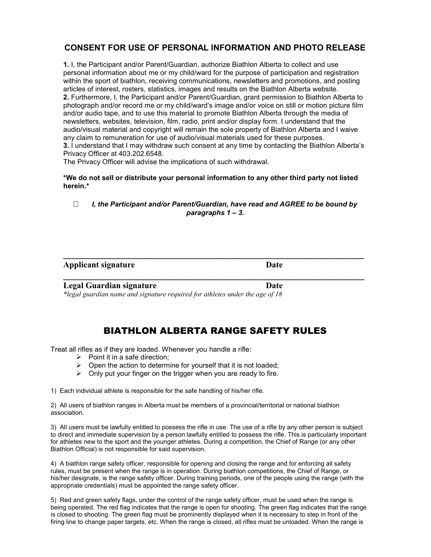# CONSENT FOR USE OF PERSONAL INFORMATION AND PHOTO RELEASE

1. I, the Participant and/or Parent/Guardian, authorize Biathlon Alberta to collect and use personal information about me or my child/ward for the purpose of participation and registration within the sport of biathlon, receiving communications, newsletters and promotions, and posting articles of interest, rosters, statistics, images and results on the Biathlon Alberta website. 2. Furthermore, I, the Participant and/or Parent/Guardian, grant permission to Biathlon Alberta to photograph and/or record me or my child/ward's image and/or voice on still or motion picture film and/or audio tape, and to use this material to promote Biathlon Alberta through the media of newsletters, websites, television, film, radio, print and/or display form. I understand that the audio/visual material and copyright will remain the sole property of Biathlon Alberta and I waive any claim to remuneration for use of audio/visual materials used for these purposes. 3. I understand that I may withdraw such consent at any time by contacting the Biathlon Alberta's Privacy Officer at 403.202.6548.

The Privacy Officer will advise the implications of such withdrawal.

\*We do not sell or distribute your personal information to any other third party not listed herein.\*

## $\Box$  I, the Participant and/or Parent/Guardian, have read and AGREE to be bound by paragraphs  $1 - 3$ .

 $\mathcal{L}_\text{max}$  , and the contract of the contract of the contract of the contract of the contract of the contract of the contract of the contract of the contract of the contract of the contract of the contract of the contr

 $\mathcal{L}_\text{max}$  , and the contract of the contract of the contract of the contract of the contract of the contract of the contract of the contract of the contract of the contract of the contract of the contract of the contr

## Applicant signature Date

Legal Guardian signature Date

\*legal guardian name and signature required for athletes under the age of 18

# BIATHLON ALBERTA RANGE SAFETY RULES

Treat all rifles as if they are loaded. Whenever you handle a rifle:

- $\triangleright$  Point it in a safe direction;
- $\triangleright$  Open the action to determine for yourself that it is not loaded;
- $\triangleright$  Only put your finger on the trigger when you are ready to fire.

1) Each individual athlete is responsible for the safe handling of his/her rifle.

2) All users of biathlon ranges in Alberta must be members of a provincial/territorial or national biathlon association.

3) All users must be lawfully entitled to possess the rifle in use. The use of a rifle by any other person is subject to direct and immediate supervision by a person lawfully entitled to possess the rifle. This is particularly important for athletes new to the sport and the younger athletes. During a competition, the Chief of Range (or any other Biathlon Official) is not responsible for said supervision.

4) A biathlon range safety officer, responsible for opening and closing the range and for enforcing all safety rules, must be present when the range is in operation. During biathlon competitions, the Chief of Range, or his/her designate, is the range safety officer. During training periods, one of the people using the range (with the appropriate credentials) must be appointed the range safety officer.

5) Red and green safety flags, under the control of the range safety officer, must be used when the range is being operated. The red flag indicates that the range is open for shooting. The green flag indicates that the range is closed to shooting. The green flag must be prominently displayed when it is necessary to step in front of the firing line to change paper targets, etc. When the range is closed, all rifles must be unloaded. When the range is